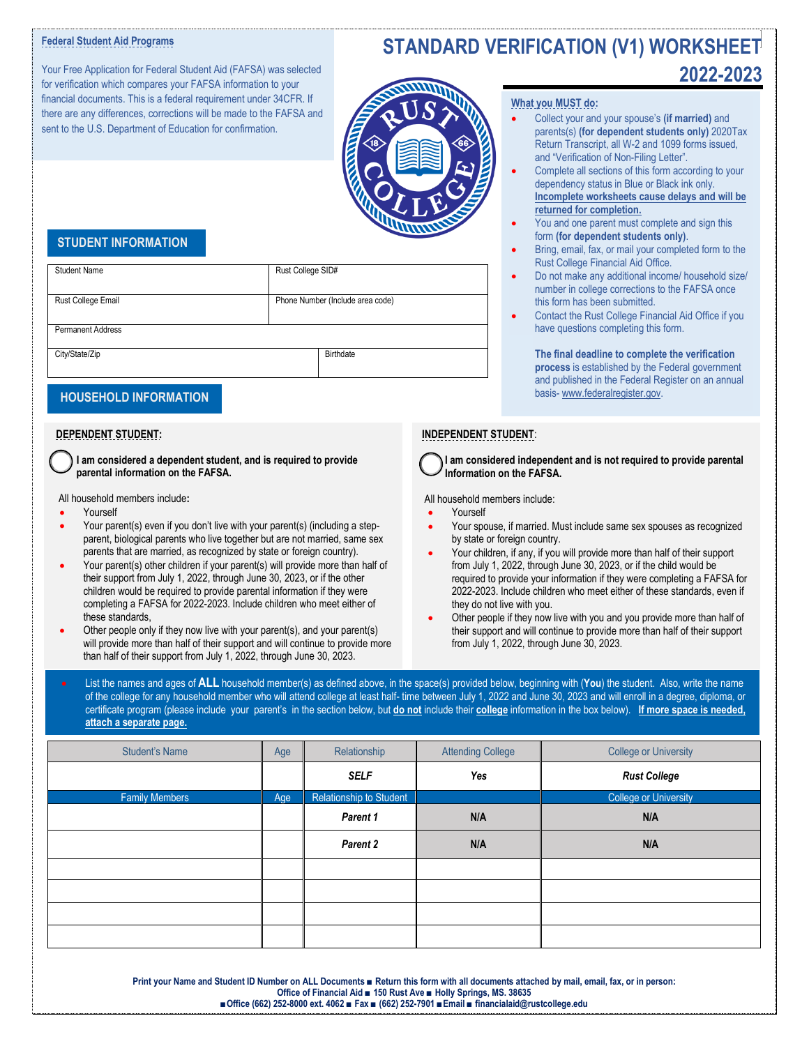### **Federal Student Aid Programs**

Your Free Application for Federal Student Aid (FAFSA) was selected for verification which compares your FAFSA information to your financial documents. This is a federal requirement under 34CFR. If there are any differences, corrections will be made to the FAFSA and sent to the U.S. Department of Education for confirmation.

# **STANDARD VERIFICATION (V1) WORKSHEET 2022-2023**



#### **What you MUST do:**

- Collect your and your spouse's **(if married)** and parents(s) **(for dependent students only)** 2020Tax Return Transcript, all W-2 and 1099 forms issued, and "Verification of Non-Filing Letter".
- Complete all sections of this form according to your dependency status in Blue or Black ink only. **Incomplete worksheets cause delays and will be returned for completion.**
- You and one parent must complete and sign this form **(for dependent students only)**.
- Bring, email, fax, or mail your completed form to the Rust College Financial Aid Office.
- Do not make any additional income/ household size/ number in college corrections to the FAFSA once this form has been submitted.
- Contact the Rust College Financial Aid Office if you have questions completing this form.

**The final deadline to complete the verification process** is established by the Federal government and published in the Federal Register on an annual basis- [www.federalregister.gov.](http://www.federalregister.gov/)

### **INDEPENDENT STUDENT**:

 **I am considered independent and is not required to provide parental Information on the FAFSA.**

All household members include:

- Yourself
- Your spouse, if married. Must include same sex spouses as recognized by state or foreign country.
- Your children, if any, if you will provide more than half of their support from July 1, 2022, through June 30, 2023, or if the child would be required to provide your information if they were completing a FAFSA for 2022-2023. Include children who meet either of these standards, even if they do not live with you.
- Other people if they now live with you and you provide more than half of their support and will continue to provide more than half of their support from July 1, 2022, through June 30, 2023.
- List the names and ages of **ALL** household member(s) as defined above, in the space(s) provided below, beginning with (**You**) the student. Also, write the name of the college for any household member who will attend college at least half- time between July 1, 2022 and June 30, 2023 and will enroll in a degree, diploma, or certificate program (please include your parent's in the section below, but **do not** include their **college** information in the box below). **If more space is needed, attach a separate page.**

| <b>Student's Name</b> | Age | Relationship            | <b>Attending College</b> | <b>College or University</b> |  |
|-----------------------|-----|-------------------------|--------------------------|------------------------------|--|
|                       |     | <b>SELF</b>             | Yes                      | <b>Rust College</b>          |  |
| <b>Family Members</b> | Age | Relationship to Student |                          | <b>College or University</b> |  |
|                       |     | Parent 1                | N/A                      | N/A                          |  |
|                       |     | Parent 2                | N/A                      | N/A                          |  |
|                       |     |                         |                          |                              |  |
|                       |     |                         |                          |                              |  |
|                       |     |                         |                          |                              |  |
|                       |     |                         |                          |                              |  |

**Print your Name and Student ID Number on ALL Documents ■ Return this form with all documents attached by mail, email, fax, or in person: Office of Financial Aid ■ 150 Rust Ave ■ Holly Springs, MS. 38635 ■Office (662) 252-8000 ext. 4062 ■ Fax ■ (662) 252-7901 ■Email ■ financialaid@rustcollege.edu**

## **STUDENT INFORMATION**

| Rust College SID#                |
|----------------------------------|
|                                  |
| Phone Number (Include area code) |
|                                  |
|                                  |
|                                  |
| Birthdate                        |
|                                  |
|                                  |
|                                  |
|                                  |

# **DEPENDENT STUDENT:**

 **I am considered a dependent student, and is required to provide parental information on the FAFSA.** 

All household members include**:**

- **Yourself**
- Your parent(s) even if you don't live with your parent(s) (including a stepparent, biological parents who live together but are not married, same sex parents that are married, as recognized by state or foreign country).
- Your parent(s) other children if your parent(s) will provide more than half of their support from July 1, 2022, through June 30, 2023, or if the other children would be required to provide parental information if they were completing a FAFSA for 2022-2023. Include children who meet either of these standards,
- Other people only if they now live with your parent(s), and your parent(s) will provide more than half of their support and will continue to provide more than half of their support from July 1, 2022, through June 30, 2023.